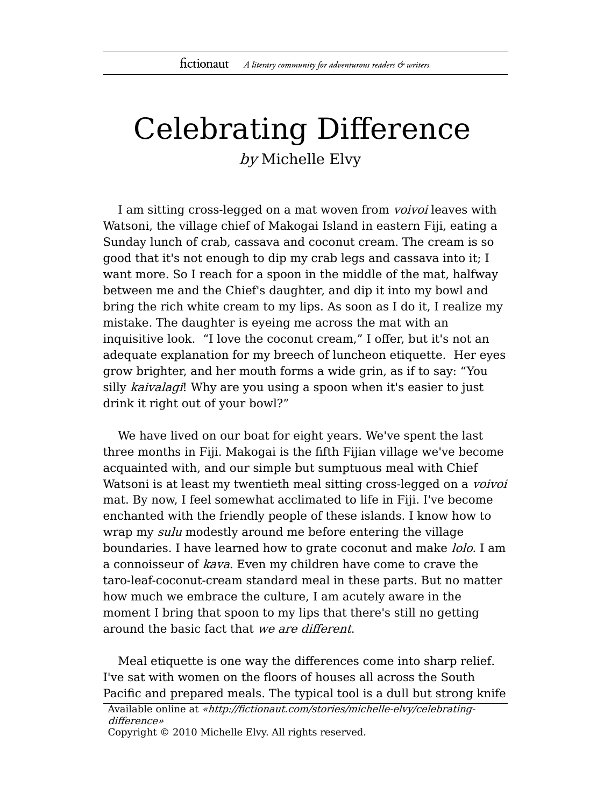## Celebrating Difference by Michelle Elvy

I am sitting cross-legged on a mat woven from *voivoi* leaves with Watsoni, the village chief of Makogai Island in eastern Fiji, eating a Sunday lunch of crab, cassava and coconut cream. The cream is so good that it's not enough to dip my crab legs and cassava into it; I want more. So I reach for a spoon in the middle of the mat, halfway between me and the Chief's daughter, and dip it into my bowl and bring the rich white cream to my lips. As soon as I do it, I realize my mistake. The daughter is eyeing me across the mat with an inquisitive look. "I love the coconut cream," I offer, but it's not an adequate explanation for my breech of luncheon etiquette. Her eyes grow brighter, and her mouth forms a wide grin, as if to say: "You silly kaivalagi! Why are you using a spoon when it's easier to just drink it right out of your bowl?"

We have lived on our boat for eight years. We've spent the last three months in Fiji. Makogai is the fifth Fijian village we've become acquainted with, and our simple but sumptuous meal with Chief Watsoni is at least my twentieth meal sitting cross-legged on a *voivoi* mat. By now, I feel somewhat acclimated to life in Fiji. I've become enchanted with the friendly people of these islands. I know how to wrap my *sulu* modestly around me before entering the village boundaries. I have learned how to grate coconut and make *lolo*. I am a connoisseur of kava. Even my children have come to crave the taro-leaf-coconut-cream standard meal in these parts. But no matter how much we embrace the culture, I am acutely aware in the moment I bring that spoon to my lips that there's still no getting around the basic fact that we are different.

Meal etiquette is one way the differences come into sharp relief. I've sat with women on the floors of houses all across the South Pacific and prepared meals. The typical tool is a dull but strong knife

Available online at «http://fictionaut.com/stories/michelle-elvy/celebratingdifference»

Copyright © 2010 Michelle Elvy. All rights reserved.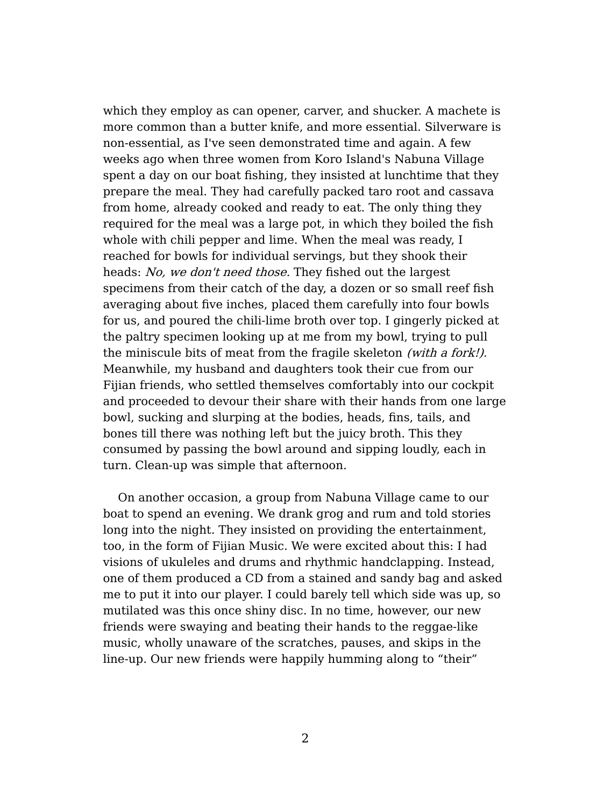which they employ as can opener, carver, and shucker. A machete is more common than a butter knife, and more essential. Silverware is non-essential, as I've seen demonstrated time and again. A few weeks ago when three women from Koro Island's Nabuna Village spent a day on our boat fishing, they insisted at lunchtime that they prepare the meal. They had carefully packed taro root and cassava from home, already cooked and ready to eat. The only thing they required for the meal was a large pot, in which they boiled the fish whole with chili pepper and lime. When the meal was ready, I reached for bowls for individual servings, but they shook their heads: No, we don't need those. They fished out the largest specimens from their catch of the day, a dozen or so small reef fish averaging about five inches, placed them carefully into four bowls for us, and poured the chili-lime broth over top. I gingerly picked at the paltry specimen looking up at me from my bowl, trying to pull the miniscule bits of meat from the fragile skeleton (with a fork!). Meanwhile, my husband and daughters took their cue from our Fijian friends, who settled themselves comfortably into our cockpit and proceeded to devour their share with their hands from one large bowl, sucking and slurping at the bodies, heads, fins, tails, and bones till there was nothing left but the juicy broth. This they consumed by passing the bowl around and sipping loudly, each in turn. Clean-up was simple that afternoon.

On another occasion, a group from Nabuna Village came to our boat to spend an evening. We drank grog and rum and told stories long into the night. They insisted on providing the entertainment, too, in the form of Fijian Music. We were excited about this: I had visions of ukuleles and drums and rhythmic handclapping. Instead, one of them produced a CD from a stained and sandy bag and asked me to put it into our player. I could barely tell which side was up, so mutilated was this once shiny disc. In no time, however, our new friends were swaying and beating their hands to the reggae-like music, wholly unaware of the scratches, pauses, and skips in the line-up. Our new friends were happily humming along to "their"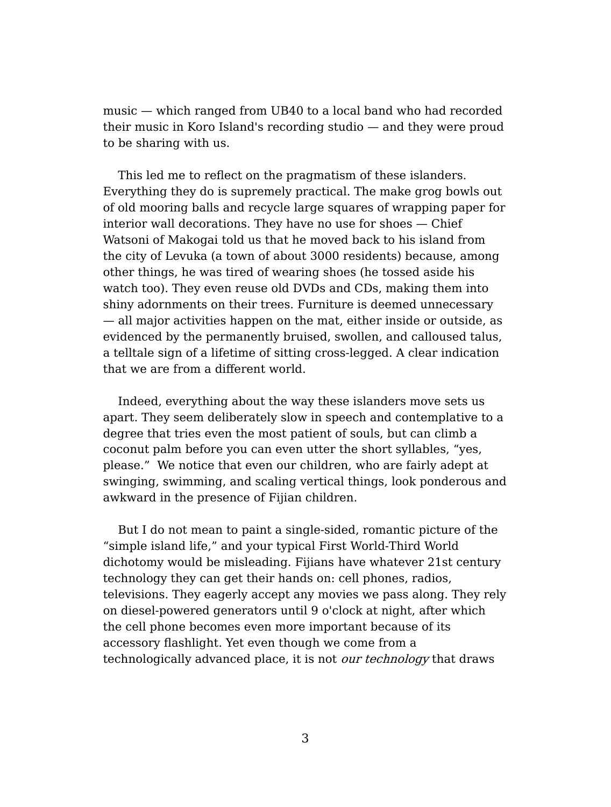music — which ranged from UB40 to a local band who had recorded their music in Koro Island's recording studio — and they were proud to be sharing with us.

This led me to reflect on the pragmatism of these islanders. Everything they do is supremely practical. The make grog bowls out of old mooring balls and recycle large squares of wrapping paper for interior wall decorations. They have no use for shoes — Chief Watsoni of Makogai told us that he moved back to his island from the city of Levuka (a town of about 3000 residents) because, among other things, he was tired of wearing shoes (he tossed aside his watch too). They even reuse old DVDs and CDs, making them into shiny adornments on their trees. Furniture is deemed unnecessary — all major activities happen on the mat, either inside or outside, as evidenced by the permanently bruised, swollen, and calloused talus, a telltale sign of a lifetime of sitting cross-legged. A clear indication that we are from a different world.

Indeed, everything about the way these islanders move sets us apart. They seem deliberately slow in speech and contemplative to a degree that tries even the most patient of souls, but can climb a coconut palm before you can even utter the short syllables, "yes, please." We notice that even our children, who are fairly adept at swinging, swimming, and scaling vertical things, look ponderous and awkward in the presence of Fijian children.

But I do not mean to paint a single-sided, romantic picture of the "simple island life," and your typical First World-Third World dichotomy would be misleading. Fijians have whatever 21st century technology they can get their hands on: cell phones, radios, televisions. They eagerly accept any movies we pass along. They rely on diesel-powered generators until 9 o'clock at night, after which the cell phone becomes even more important because of its accessory flashlight. Yet even though we come from a technologically advanced place, it is not *our technology* that draws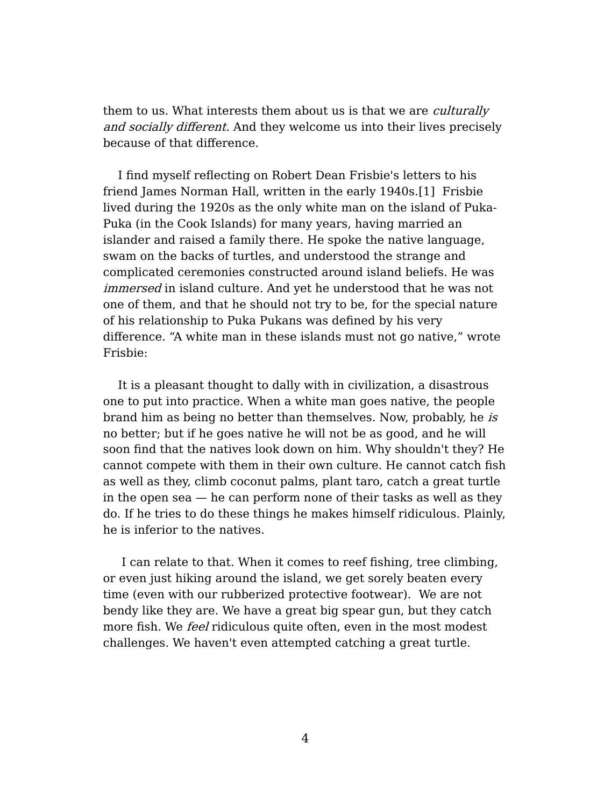them to us. What interests them about us is that we are *culturally* and socially different. And they welcome us into their lives precisely because of that difference.

I find myself reflecting on Robert Dean Frisbie's letters to his friend James Norman Hall, written in the early 1940s.[1] Frisbie lived during the 1920s as the only white man on the island of Puka-Puka (in the Cook Islands) for many years, having married an islander and raised a family there. He spoke the native language, swam on the backs of turtles, and understood the strange and complicated ceremonies constructed around island beliefs. He was immersed in island culture. And yet he understood that he was not one of them, and that he should not try to be, for the special nature of his relationship to Puka Pukans was defined by his very difference. "A white man in these islands must not go native," wrote Frisbie:

It is a pleasant thought to dally with in civilization, a disastrous one to put into practice. When a white man goes native, the people brand him as being no better than themselves. Now, probably, he is no better; but if he goes native he will not be as good, and he will soon find that the natives look down on him. Why shouldn't they? He cannot compete with them in their own culture. He cannot catch fish as well as they, climb coconut palms, plant taro, catch a great turtle in the open sea — he can perform none of their tasks as well as they do. If he tries to do these things he makes himself ridiculous. Plainly, he is inferior to the natives.

I can relate to that. When it comes to reef fishing, tree climbing, or even just hiking around the island, we get sorely beaten every time (even with our rubberized protective footwear). We are not bendy like they are. We have a great big spear gun, but they catch more fish. We *feel* ridiculous quite often, even in the most modest challenges. We haven't even attempted catching a great turtle.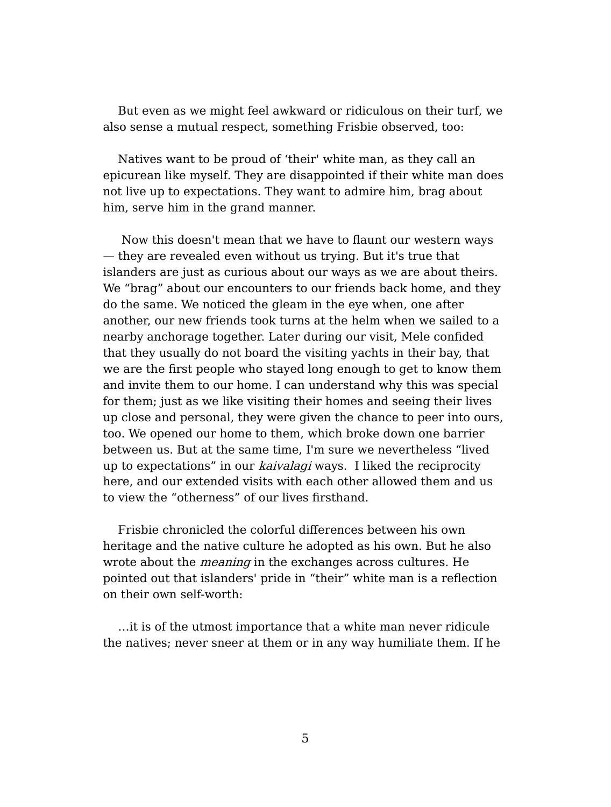But even as we might feel awkward or ridiculous on their turf, we also sense a mutual respect, something Frisbie observed, too:

Natives want to be proud of 'their' white man, as they call an epicurean like myself. They are disappointed if their white man does not live up to expectations. They want to admire him, brag about him, serve him in the grand manner.

Now this doesn't mean that we have to flaunt our western ways — they are revealed even without us trying. But it's true that islanders are just as curious about our ways as we are about theirs. We "brag" about our encounters to our friends back home, and they do the same. We noticed the gleam in the eye when, one after another, our new friends took turns at the helm when we sailed to a nearby anchorage together. Later during our visit, Mele confided that they usually do not board the visiting yachts in their bay, that we are the first people who stayed long enough to get to know them and invite them to our home. I can understand why this was special for them; just as we like visiting their homes and seeing their lives up close and personal, they were given the chance to peer into ours, too. We opened our home to them, which broke down one barrier between us. But at the same time, I'm sure we nevertheless "lived up to expectations" in our kaivalagi ways. I liked the reciprocity here, and our extended visits with each other allowed them and us to view the "otherness" of our lives firsthand.

Frisbie chronicled the colorful differences between his own heritage and the native culture he adopted as his own. But he also wrote about the *meaning* in the exchanges across cultures. He pointed out that islanders' pride in "their" white man is a reflection on their own self-worth:

…it is of the utmost importance that a white man never ridicule the natives; never sneer at them or in any way humiliate them. If he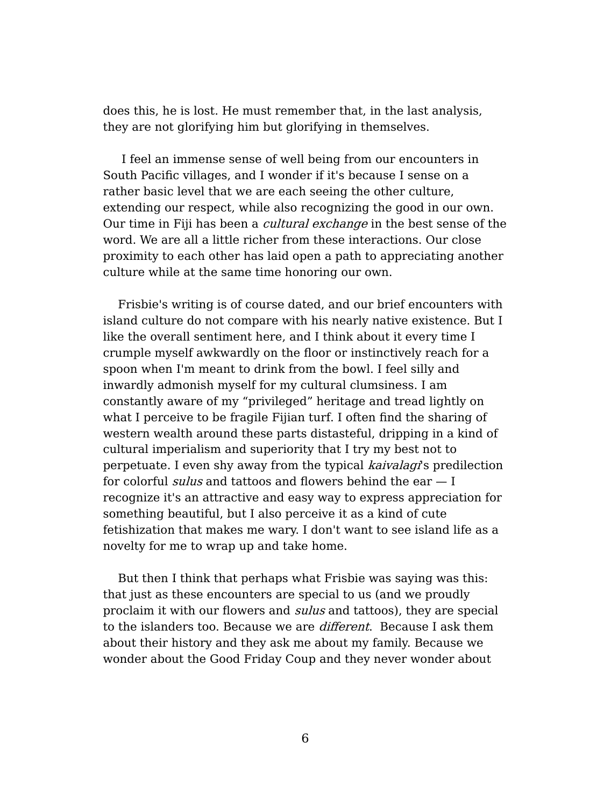does this, he is lost. He must remember that, in the last analysis, they are not glorifying him but glorifying in themselves.

I feel an immense sense of well being from our encounters in South Pacific villages, and I wonder if it's because I sense on a rather basic level that we are each seeing the other culture, extending our respect, while also recognizing the good in our own. Our time in Fiji has been a cultural exchange in the best sense of the word. We are all a little richer from these interactions. Our close proximity to each other has laid open a path to appreciating another culture while at the same time honoring our own.

Frisbie's writing is of course dated, and our brief encounters with island culture do not compare with his nearly native existence. But I like the overall sentiment here, and I think about it every time I crumple myself awkwardly on the floor or instinctively reach for a spoon when I'm meant to drink from the bowl. I feel silly and inwardly admonish myself for my cultural clumsiness. I am constantly aware of my "privileged" heritage and tread lightly on what I perceive to be fragile Fijian turf. I often find the sharing of western wealth around these parts distasteful, dripping in a kind of cultural imperialism and superiority that I try my best not to perpetuate. I even shy away from the typical kaivalagi's predilection for colorful *sulus* and tattoos and flowers behind the ear  $-1$ recognize it's an attractive and easy way to express appreciation for something beautiful, but I also perceive it as a kind of cute fetishization that makes me wary. I don't want to see island life as a novelty for me to wrap up and take home.

But then I think that perhaps what Frisbie was saying was this: that just as these encounters are special to us (and we proudly proclaim it with our flowers and *sulus* and tattoos), they are special to the islanders too. Because we are *different*. Because I ask them about their history and they ask me about my family. Because we wonder about the Good Friday Coup and they never wonder about